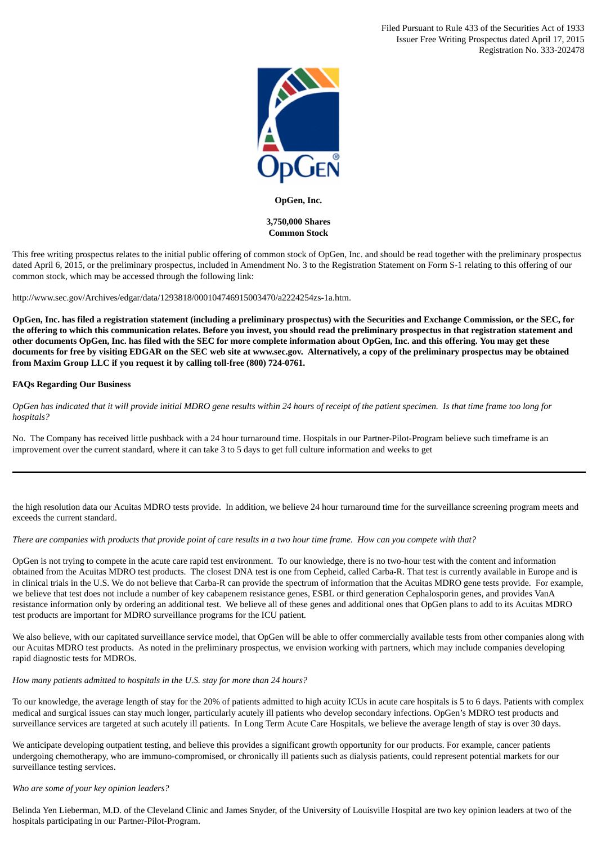Filed Pursuant to Rule 433 of the Securities Act of 1933 Issuer Free Writing Prospectus dated April 17, 2015 Registration No. 333-202478



### **OpGen, Inc.**

# **3,750,000 Shares Common Stock**

This free writing prospectus relates to the initial public offering of common stock of OpGen, Inc. and should be read together with the preliminary prospectus dated April 6, 2015, or the preliminary prospectus, included in Amendment No. 3 to the Registration Statement on Form S-1 relating to this offering of our common stock, which may be accessed through the following link:

http://www.sec.gov/Archives/edgar/data/1293818/000104746915003470/a2224254zs-1a.htm.

OpGen, Inc. has filed a registration statement (including a preliminary prospectus) with the Securities and Exchange Commission, or the SEC, for the offering to which this communication relates. Before you invest, you should read the preliminary prospectus in that registration statement and other documents OpGen, Inc. has filed with the SEC for more complete information about OpGen, Inc. and this offering. You may get these documents for free by visiting EDGAR on the SEC web site at www.sec.gov. Alternatively, a copy of the preliminary prospectus may be obtained **from Maxim Group LLC if you request it by calling toll-free (800) 724-0761.**

## **FAQs Regarding Our Business**

OpGen has indicated that it will provide initial MDRO gene results within 24 hours of receipt of the patient specimen. Is that time frame too long for *hospitals?*

No. The Company has received little pushback with a 24 hour turnaround time. Hospitals in our Partner-Pilot-Program believe such timeframe is an improvement over the current standard, where it can take 3 to 5 days to get full culture information and weeks to get

the high resolution data our Acuitas MDRO tests provide. In addition, we believe 24 hour turnaround time for the surveillance screening program meets and exceeds the current standard.

There are companies with products that provide point of care results in a two hour time frame. How can you compete with that?

OpGen is not trying to compete in the acute care rapid test environment. To our knowledge, there is no two-hour test with the content and information obtained from the Acuitas MDRO test products. The closest DNA test is one from Cepheid, called Carba-R. That test is currently available in Europe and is in clinical trials in the U.S. We do not believe that Carba-R can provide the spectrum of information that the Acuitas MDRO gene tests provide. For example, we believe that test does not include a number of key cabapenem resistance genes, ESBL or third generation Cephalosporin genes, and provides VanA resistance information only by ordering an additional test. We believe all of these genes and additional ones that OpGen plans to add to its Acuitas MDRO test products are important for MDRO surveillance programs for the ICU patient.

We also believe, with our capitated surveillance service model, that OpGen will be able to offer commercially available tests from other companies along with our Acuitas MDRO test products. As noted in the preliminary prospectus, we envision working with partners, which may include companies developing rapid diagnostic tests for MDROs.

## *How many patients admitted to hospitals in the U.S. stay for more than 24 hours?*

To our knowledge, the average length of stay for the 20% of patients admitted to high acuity ICUs in acute care hospitals is 5 to 6 days. Patients with complex medical and surgical issues can stay much longer, particularly acutely ill patients who develop secondary infections. OpGen's MDRO test products and surveillance services are targeted at such acutely ill patients. In Long Term Acute Care Hospitals, we believe the average length of stay is over 30 days.

We anticipate developing outpatient testing, and believe this provides a significant growth opportunity for our products. For example, cancer patients undergoing chemotherapy, who are immuno-compromised, or chronically ill patients such as dialysis patients, could represent potential markets for our surveillance testing services.

# *Who are some of your key opinion leaders?*

Belinda Yen Lieberman, M.D. of the Cleveland Clinic and James Snyder, of the University of Louisville Hospital are two key opinion leaders at two of the hospitals participating in our Partner-Pilot-Program.